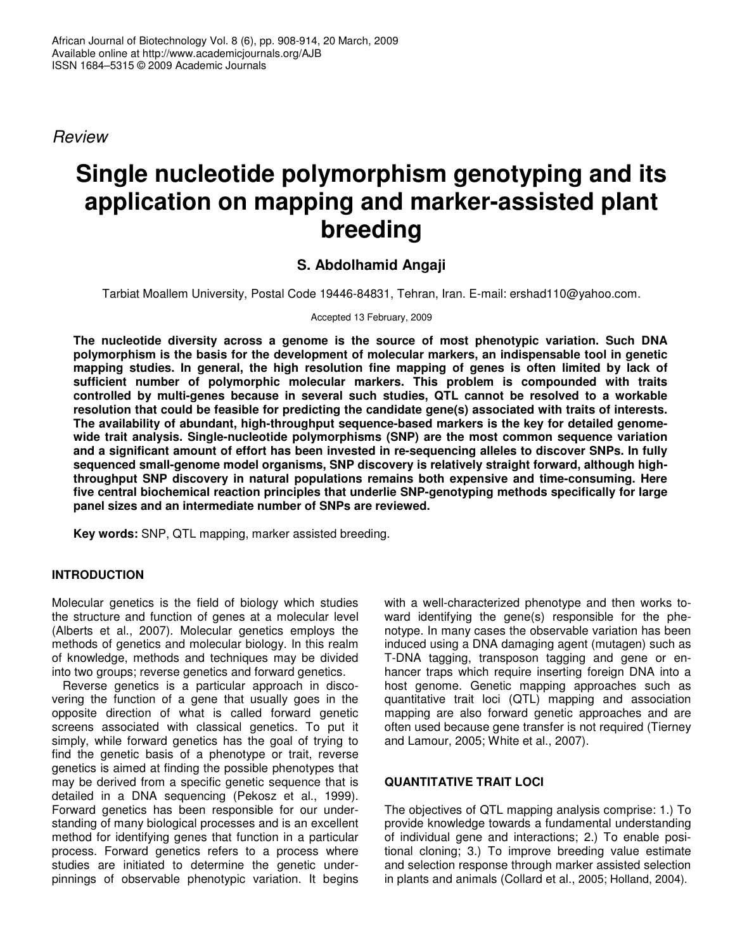*Review*

# **Single nucleotide polymorphism genotyping and its application on mapping and marker-assisted plant breeding**

## **S. Abdolhamid Angaji**

Tarbiat Moallem University, Postal Code 19446-84831, Tehran, Iran. E-mail: ershad110@yahoo.com.

Accepted 13 February, 2009

**The nucleotide diversity across a genome is the source of most phenotypic variation. Such DNA polymorphism is the basis for the development of molecular markers, an indispensable tool in genetic mapping studies. In general, the high resolution fine mapping of genes is often limited by lack of sufficient number of polymorphic molecular markers. This problem is compounded with traits controlled by multi-genes because in several such studies, QTL cannot be resolved to a workable resolution that could be feasible for predicting the candidate gene(s) associated with traits of interests. The availability of abundant, high-throughput sequence-based markers is the key for detailed genomewide trait analysis. Single-nucleotide polymorphisms (SNP) are the most common sequence variation and a significant amount of effort has been invested in re-sequencing alleles to discover SNPs. In fully sequenced small-genome model organisms, SNP discovery is relatively straight forward, although highthroughput SNP discovery in natural populations remains both expensive and time-consuming. Here five central biochemical reaction principles that underlie SNP-genotyping methods specifically for large panel sizes and an intermediate number of SNPs are reviewed.**

**Key words:** SNP, QTL mapping, marker assisted breeding.

#### **INTRODUCTION**

Molecular genetics is the field of biology which studies the structure and function of genes at a molecular level (Alberts et al., 2007). Molecular genetics employs the methods of genetics and molecular biology. In this realm of knowledge, methods and techniques may be divided into two groups; reverse genetics and forward genetics.

Reverse genetics is a particular approach in discovering the function of a gene that usually goes in the opposite direction of what is called forward genetic screens associated with classical genetics. To put it simply, while forward genetics has the goal of trying to find the genetic basis of a phenotype or trait, reverse genetics is aimed at finding the possible phenotypes that may be derived from a specific genetic sequence that is detailed in a DNA sequencing (Pekosz et al., 1999). Forward genetics has been responsible for our understanding of many biological processes and is an excellent method for identifying genes that function in a particular process. Forward genetics refers to a process where studies are initiated to determine the genetic underpinnings of observable phenotypic variation. It begins with a well-characterized phenotype and then works toward identifying the gene(s) responsible for the phenotype. In many cases the observable variation has been induced using a DNA damaging agent (mutagen) such as T-DNA tagging, transposon tagging and gene or enhancer traps which require inserting foreign DNA into a host genome. Genetic mapping approaches such as quantitative trait loci (QTL) mapping and association mapping are also forward genetic approaches and are often used because gene transfer is not required (Tierney and Lamour, 2005; White et al., 2007).

#### **QUANTITATIVE TRAIT LOCI**

The objectives of QTL mapping analysis comprise: 1.) To provide knowledge towards a fundamental understanding of individual gene and interactions; 2.) To enable positional cloning; 3.) To improve breeding value estimate and selection response through marker assisted selection in plants and animals (Collard et al., 2005; Holland, 2004).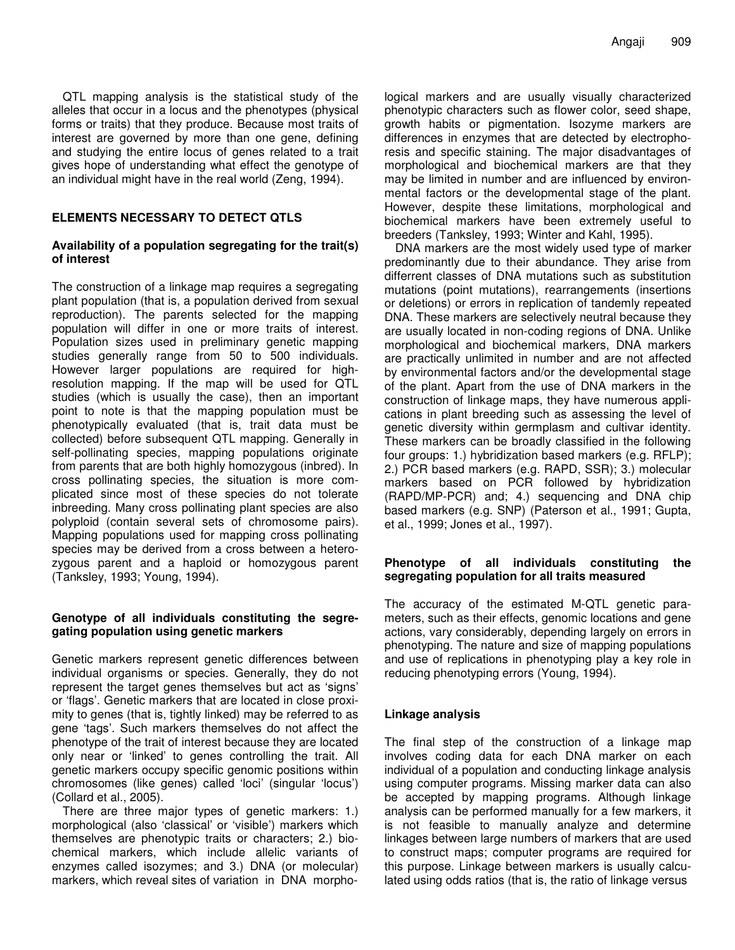QTL mapping analysis is the statistical study of the alleles that occur in a locus and the phenotypes (physical forms or traits) that they produce. Because most traits of interest are governed by more than one gene, defining and studying the entire locus of genes related to a trait gives hope of understanding what effect the genotype of an individual might have in the real world (Zeng, 1994).

#### **ELEMENTS NECESSARY TO DETECT QTLS**

#### **Availability of a population segregating for the trait(s) of interest**

The construction of a linkage map requires a segregating plant population (that is, a population derived from sexual reproduction). The parents selected for the mapping population will differ in one or more traits of interest. Population sizes used in preliminary genetic mapping studies generally range from 50 to 500 individuals. However larger populations are required for highresolution mapping. If the map will be used for QTL studies (which is usually the case), then an important point to note is that the mapping population must be phenotypically evaluated (that is, trait data must be collected) before subsequent QTL mapping. Generally in self-pollinating species, mapping populations originate from parents that are both highly homozygous (inbred). In cross pollinating species, the situation is more complicated since most of these species do not tolerate inbreeding. Many cross pollinating plant species are also polyploid (contain several sets of chromosome pairs). Mapping populations used for mapping cross pollinating species may be derived from a cross between a heterozygous parent and a haploid or homozygous parent (Tanksley, 1993; Young, 1994).

#### **Genotype of all individuals constituting the segregating population using genetic markers**

Genetic markers represent genetic differences between individual organisms or species. Generally, they do not represent the target genes themselves but act as 'signs' or 'flags'. Genetic markers that are located in close proximity to genes (that is, tightly linked) may be referred to as gene 'tags'. Such markers themselves do not affect the phenotype of the trait of interest because they are located only near or 'linked' to genes controlling the trait. All genetic markers occupy specific genomic positions within chromosomes (like genes) called 'loci' (singular 'locus') (Collard et al., 2005).

There are three major types of genetic markers: 1.) morphological (also 'classical' or 'visible') markers which themselves are phenotypic traits or characters; 2.) biochemical markers, which include allelic variants of enzymes called isozymes; and 3.) DNA (or molecular) markers, which reveal sites of variation in DNA morpho-

logical markers and are usually visually characterized phenotypic characters such as flower color, seed shape, growth habits or pigmentation. Isozyme markers are differences in enzymes that are detected by electrophoresis and specific staining. The major disadvantages of morphological and biochemical markers are that they may be limited in number and are influenced by environmental factors or the developmental stage of the plant. However, despite these limitations, morphological and biochemical markers have been extremely useful to breeders (Tanksley, 1993; Winter and Kahl, 1995).

DNA markers are the most widely used type of marker predominantly due to their abundance. They arise from differrent classes of DNA mutations such as substitution mutations (point mutations), rearrangements (insertions or deletions) or errors in replication of tandemly repeated DNA. These markers are selectively neutral because they are usually located in non-coding regions of DNA. Unlike morphological and biochemical markers, DNA markers are practically unlimited in number and are not affected by environmental factors and/or the developmental stage of the plant. Apart from the use of DNA markers in the construction of linkage maps, they have numerous applications in plant breeding such as assessing the level of genetic diversity within germplasm and cultivar identity. These markers can be broadly classified in the following four groups: 1.) hybridization based markers (e.g. RFLP); 2.) PCR based markers (e.g. RAPD, SSR); 3.) molecular markers based on PCR followed by hybridization (RAPD/MP-PCR) and; 4.) sequencing and DNA chip based markers (e.g. SNP) (Paterson et al., 1991; Gupta, et al., 1999; Jones et al., 1997).

#### **Phenotype of all individuals constituting the segregating population for all traits measured**

The accuracy of the estimated M-QTL genetic parameters, such as their effects, genomic locations and gene actions, vary considerably, depending largely on errors in phenotyping. The nature and size of mapping populations and use of replications in phenotyping play a key role in reducing phenotyping errors (Young, 1994).

#### **Linkage analysis**

The final step of the construction of a linkage map involves coding data for each DNA marker on each individual of a population and conducting linkage analysis using computer programs. Missing marker data can also be accepted by mapping programs. Although linkage analysis can be performed manually for a few markers, it is not feasible to manually analyze and determine linkages between large numbers of markers that are used to construct maps; computer programs are required for this purpose. Linkage between markers is usually calculated using odds ratios (that is, the ratio of linkage versus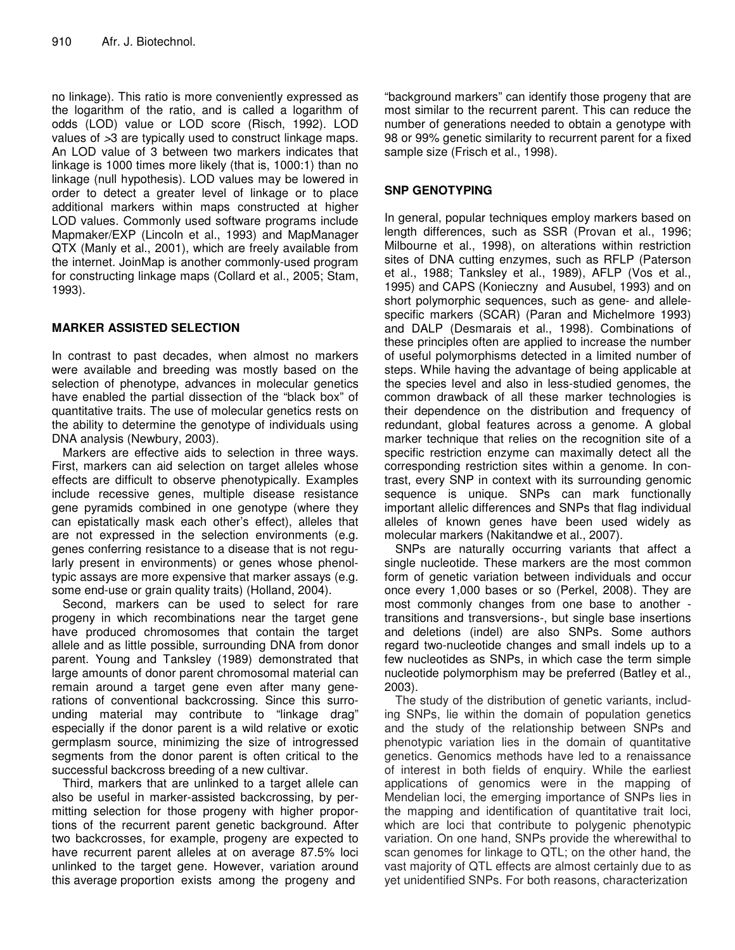no linkage). This ratio is more conveniently expressed as the logarithm of the ratio, and is called a logarithm of odds (LOD) value or LOD score (Risch, 1992). LOD values of *>*3 are typically used to construct linkage maps. An LOD value of 3 between two markers indicates that linkage is 1000 times more likely (that is, 1000:1) than no linkage (null hypothesis). LOD values may be lowered in order to detect a greater level of linkage or to place additional markers within maps constructed at higher LOD values. Commonly used software programs include Mapmaker/EXP (Lincoln et al., 1993) and MapManager QTX (Manly et al., 2001), which are freely available from the internet. JoinMap is another commonly-used program for constructing linkage maps (Collard et al., 2005; Stam, 1993).

#### **MARKER ASSISTED SELECTION**

In contrast to past decades, when almost no markers were available and breeding was mostly based on the selection of phenotype, advances in molecular genetics have enabled the partial dissection of the "black box" of quantitative traits. The use of molecular genetics rests on the ability to determine the genotype of individuals using DNA analysis (Newbury, 2003).

Markers are effective aids to selection in three ways. First, markers can aid selection on target alleles whose effects are difficult to observe phenotypically. Examples include recessive genes, multiple disease resistance gene pyramids combined in one genotype (where they can epistatically mask each other's effect), alleles that are not expressed in the selection environments (e.g. genes conferring resistance to a disease that is not regularly present in environments) or genes whose phenoltypic assays are more expensive that marker assays (e.g. some end-use or grain quality traits) (Holland, 2004).

Second, markers can be used to select for rare progeny in which recombinations near the target gene have produced chromosomes that contain the target allele and as little possible, surrounding DNA from donor parent. Young and Tanksley (1989) demonstrated that large amounts of donor parent chromosomal material can remain around a target gene even after many generations of conventional backcrossing. Since this surrounding material may contribute to "linkage drag" especially if the donor parent is a wild relative or exotic germplasm source, minimizing the size of introgressed segments from the donor parent is often critical to the successful backcross breeding of a new cultivar.

Third, markers that are unlinked to a target allele can also be useful in marker-assisted backcrossing, by permitting selection for those progeny with higher proportions of the recurrent parent genetic background. After two backcrosses, for example, progeny are expected to have recurrent parent alleles at on average 87.5% loci unlinked to the target gene. However, variation around this average proportion exists among the progeny and

"background markers" can identify those progeny that are most similar to the recurrent parent. This can reduce the number of generations needed to obtain a genotype with 98 or 99% genetic similarity to recurrent parent for a fixed sample size (Frisch et al., 1998).

#### **SNP GENOTYPING**

In general, popular techniques employ markers based on length differences, such as SSR (Provan et al., 1996; Milbourne et al., 1998), on alterations within restriction sites of DNA cutting enzymes, such as RFLP (Paterson et al., 1988; Tanksley et al., 1989), AFLP (Vos et al., 1995) and CAPS (Konieczny and Ausubel, 1993) and on short polymorphic sequences, such as gene- and allelespecific markers (SCAR) (Paran and Michelmore 1993) and DALP (Desmarais et al., 1998). Combinations of these principles often are applied to increase the number of useful polymorphisms detected in a limited number of steps. While having the advantage of being applicable at the species level and also in less-studied genomes, the common drawback of all these marker technologies is their dependence on the distribution and frequency of redundant, global features across a genome. A global marker technique that relies on the recognition site of a specific restriction enzyme can maximally detect all the corresponding restriction sites within a genome. In contrast, every SNP in context with its surrounding genomic sequence is unique. SNPs can mark functionally important allelic differences and SNPs that flag individual alleles of known genes have been used widely as molecular markers (Nakitandwe et al., 2007).

SNPs are naturally occurring variants that affect a single nucleotide. These markers are the most common form of genetic variation between individuals and occur once every 1,000 bases or so (Perkel, 2008). They are most commonly changes from one base to another transitions and transversions-, but single base insertions and deletions (indel) are also SNPs. Some authors regard two-nucleotide changes and small indels up to a few nucleotides as SNPs, in which case the term simple nucleotide polymorphism may be preferred (Batley et al., 2003).

The study of the distribution of genetic variants, including SNPs, lie within the domain of population genetics and the study of the relationship between SNPs and phenotypic variation lies in the domain of quantitative genetics. Genomics methods have led to a renaissance of interest in both fields of enquiry. While the earliest applications of genomics were in the mapping of Mendelian loci, the emerging importance of SNPs lies in the mapping and identification of quantitative trait loci, which are loci that contribute to polygenic phenotypic variation. On one hand, SNPs provide the wherewithal to scan genomes for linkage to QTL; on the other hand, the vast majority of QTL effects are almost certainly due to as yet unidentified SNPs. For both reasons, characterization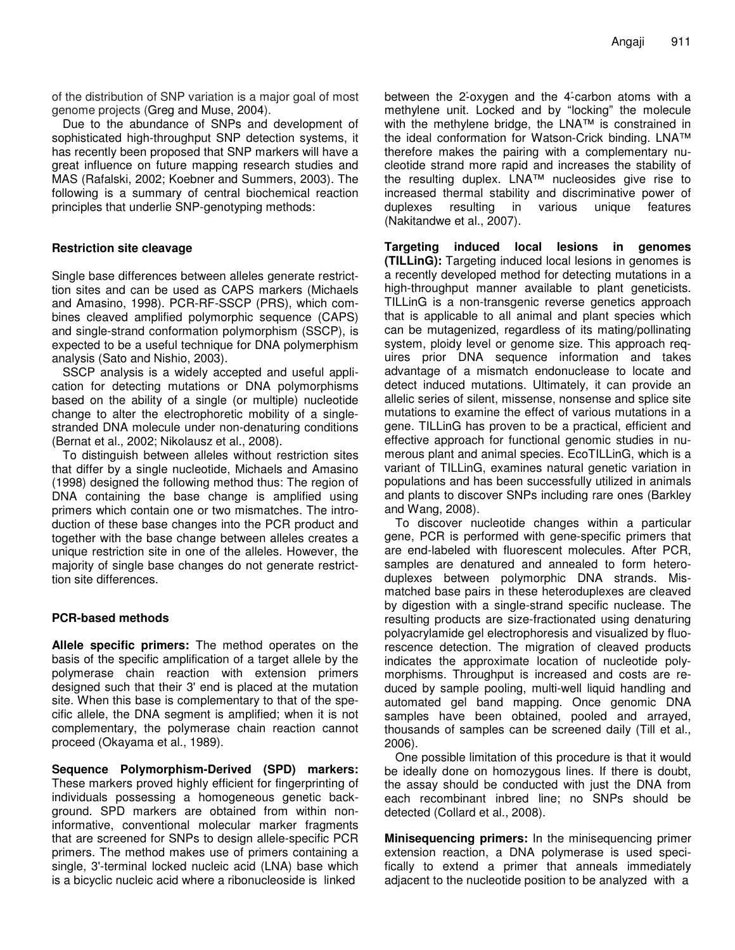of the distribution of SNP variation is a major goal of most genome projects (Greg and Muse, 2004).

Due to the abundance of SNPs and development of sophisticated high-throughput SNP detection systems, it has recently been proposed that SNP markers will have a great influence on future mapping research studies and MAS (Rafalski, 2002; Koebner and Summers, 2003). The following is a summary of central biochemical reaction principles that underlie SNP-genotyping methods:

#### **Restriction site cleavage**

Single base differences between alleles generate restricttion sites and can be used as CAPS markers (Michaels and Amasino, 1998). PCR-RF-SSCP (PRS), which combines cleaved amplified polymorphic sequence (CAPS) and single-strand conformation polymorphism (SSCP), is expected to be a useful technique for DNA polymerphism analysis (Sato and Nishio, 2003).

SSCP analysis is a widely accepted and useful application for detecting mutations or DNA polymorphisms based on the ability of a single (or multiple) nucleotide change to alter the electrophoretic mobility of a singlestranded DNA molecule under non-denaturing conditions (Bernat et al., 2002; Nikolausz et al., 2008).

To distinguish between alleles without restriction sites that differ by a single nucleotide, Michaels and Amasino (1998) designed the following method thus: The region of DNA containing the base change is amplified using primers which contain one or two mismatches. The introduction of these base changes into the PCR product and together with the base change between alleles creates a unique restriction site in one of the alleles. However, the majority of single base changes do not generate restricttion site differences.

#### **PCR-based methods**

**Allele specific primers:** The method operates on the basis of the specific amplification of a target allele by the polymerase chain reaction with extension primers designed such that their 3' end is placed at the mutation site. When this base is complementary to that of the specific allele, the DNA segment is amplified; when it is not complementary, the polymerase chain reaction cannot proceed (Okayama et al., 1989).

**Sequence Polymorphism-Derived (SPD) markers:** These markers proved highly efficient for fingerprinting of individuals possessing a homogeneous genetic background. SPD markers are obtained from within noninformative, conventional molecular marker fragments that are screened for SNPs to design allele-specific PCR primers. The method makes use of primers containing a single, 3'-terminal locked nucleic acid (LNA) base which is a bicyclic nucleic acid where a ribonucleoside is linked

between the 2-oxygen and the 4-carbon atoms with a methylene unit. Locked and by "locking" the molecule with the methylene bridge, the LNA™ is constrained in the ideal conformation for Watson-Crick binding. LNA™ therefore makes the pairing with a complementary nucleotide strand more rapid and increases the stability of the resulting duplex. LNA™ nucleosides give rise to increased thermal stability and discriminative power of duplexes resulting in various unique features (Nakitandwe et al., 2007).

**Targeting induced local lesions in genomes (TILLinG):** Targeting induced local lesions in genomes is a recently developed method for detecting mutations in a high-throughput manner available to plant geneticists. TILLinG is a non-transgenic reverse genetics approach that is applicable to all animal and plant species which can be mutagenized, regardless of its mating/pollinating system, ploidy level or genome size. This approach requires prior DNA sequence information and takes advantage of a mismatch endonuclease to locate and detect induced mutations. Ultimately, it can provide an allelic series of silent, missense, nonsense and splice site mutations to examine the effect of various mutations in a gene. TILLinG has proven to be a practical, efficient and effective approach for functional genomic studies in numerous plant and animal species. EcoTILLinG, which is a variant of TILLinG, examines natural genetic variation in populations and has been successfully utilized in animals and plants to discover SNPs including rare ones (Barkley and Wang, 2008).

To discover nucleotide changes within a particular gene, PCR is performed with gene-specific primers that are end-labeled with fluorescent molecules. After PCR, samples are denatured and annealed to form heteroduplexes between polymorphic DNA strands. Mismatched base pairs in these heteroduplexes are cleaved by digestion with a single-strand specific nuclease. The resulting products are size-fractionated using denaturing polyacrylamide gel electrophoresis and visualized by fluorescence detection. The migration of cleaved products indicates the approximate location of nucleotide polymorphisms. Throughput is increased and costs are reduced by sample pooling, multi-well liquid handling and automated gel band mapping. Once genomic DNA samples have been obtained, pooled and arrayed, thousands of samples can be screened daily (Till et al., 2006).

One possible limitation of this procedure is that it would be ideally done on homozygous lines. If there is doubt, the assay should be conducted with just the DNA from each recombinant inbred line; no SNPs should be detected (Collard et al., 2008).

**Minisequencing primers:** In the minisequencing primer extension reaction, a DNA polymerase is used specifically to extend a primer that anneals immediately adjacent to the nucleotide position to be analyzed with a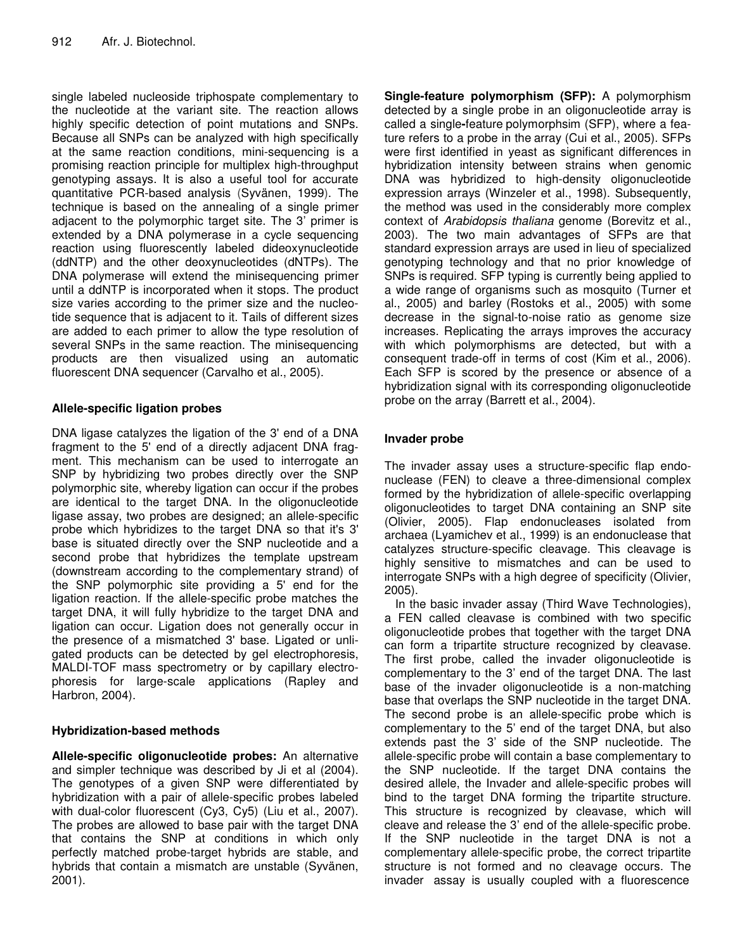single labeled nucleoside triphospate complementary to the nucleotide at the variant site. The reaction allows highly specific detection of point mutations and SNPs. Because all SNPs can be analyzed with high specifically at the same reaction conditions, mini-sequencing is a promising reaction principle for multiplex high-throughput genotyping assays. It is also a useful tool for accurate quantitative PCR-based analysis (Syvänen, 1999). The technique is based on the annealing of a single primer adjacent to the polymorphic target site. The 3' primer is extended by a DNA polymerase in a cycle sequencing reaction using fluorescently labeled dideoxynucleotide (ddNTP) and the other deoxynucleotides (dNTPs). The DNA polymerase will extend the minisequencing primer until a ddNTP is incorporated when it stops. The product size varies according to the primer size and the nucleotide sequence that is adjacent to it. Tails of different sizes are added to each primer to allow the type resolution of several SNPs in the same reaction. The minisequencing products are then visualized using an automatic fluorescent DNA sequencer (Carvalho et al., 2005).

#### **Allele-specific ligation probes**

DNA ligase catalyzes the ligation of the 3' end of a DNA fragment to the 5' end of a directly adjacent DNA fragment. This mechanism can be used to interrogate an SNP by hybridizing two probes directly over the SNP polymorphic site, whereby ligation can occur if the probes are identical to the target DNA. In the oligonucleotide ligase assay, two probes are designed; an allele-specific probe which hybridizes to the target DNA so that it's 3' base is situated directly over the SNP nucleotide and a second probe that hybridizes the template upstream (downstream according to the complementary strand) of the SNP polymorphic site providing a 5' end for the ligation reaction. If the allele-specific probe matches the target DNA, it will fully hybridize to the target DNA and ligation can occur. Ligation does not generally occur in the presence of a mismatched 3' base. Ligated or unligated products can be detected by gel electrophoresis, MALDI-TOF mass spectrometry or by capillary electrophoresis for large-scale applications (Rapley and Harbron, 2004).

### **Hybridization-based methods**

**Allele-specific oligonucleotide probes:** An alternative and simpler technique was described by Ji et al (2004). The genotypes of a given SNP were differentiated by hybridization with a pair of allele-specific probes labeled with dual-color fluorescent (Cy3, Cy5) (Liu et al., 2007). The probes are allowed to base pair with the target DNA that contains the SNP at conditions in which only perfectly matched probe-target hybrids are stable, and hybrids that contain a mismatch are unstable (Syvänen, 2001).

**Single-feature polymorphism (SFP):** A polymorphism detected by a single probe in an oligonucleotide array is called a single**-**feature polymorphsim (SFP), where a feature refers to a probe in the array (Cui et al., 2005). SFPs were first identified in yeast as significant differences in hybridization intensity between strains when genomic DNA was hybridized to high-density oligonucleotide expression arrays (Winzeler et al., 1998). Subsequently, the method was used in the considerably more complex context of *Arabidopsis thaliana* genome (Borevitz et al., 2003). The two main advantages of SFPs are that standard expression arrays are used in lieu of specialized genotyping technology and that no prior knowledge of SNPs is required. SFP typing is currently being applied to a wide range of organisms such as mosquito (Turner et al., 2005) and barley (Rostoks et al., 2005) with some decrease in the signal-to-noise ratio as genome size increases. Replicating the arrays improves the accuracy with which polymorphisms are detected, but with a consequent trade-off in terms of cost (Kim et al., 2006). Each SFP is scored by the presence or absence of a hybridization signal with its corresponding oligonucleotide probe on the array (Barrett et al., 2004).

### **Invader probe**

The invader assay uses a structure-specific flap endonuclease (FEN) to cleave a three-dimensional complex formed by the hybridization of allele-specific overlapping oligonucleotides to target DNA containing an SNP site (Olivier, 2005). Flap endonucleases isolated from archaea (Lyamichev et al., 1999) is an endonuclease that catalyzes structure-specific cleavage. This cleavage is highly sensitive to mismatches and can be used to interrogate SNPs with a high degree of specificity (Olivier, 2005).

In the basic invader assay (Third Wave Technologies), a FEN called cleavase is combined with two specific oligonucleotide probes that together with the target DNA can form a tripartite structure recognized by cleavase. The first probe, called the invader oligonucleotide is complementary to the 3' end of the target DNA. The last base of the invader oligonucleotide is a non-matching base that overlaps the SNP nucleotide in the target DNA. The second probe is an allele-specific probe which is complementary to the 5' end of the target DNA, but also extends past the 3' side of the SNP nucleotide. The allele-specific probe will contain a base complementary to the SNP nucleotide. If the target DNA contains the desired allele, the Invader and allele-specific probes will bind to the target DNA forming the tripartite structure. This structure is recognized by cleavase, which will cleave and release the 3' end of the allele-specific probe. If the SNP nucleotide in the target DNA is not a complementary allele-specific probe, the correct tripartite structure is not formed and no cleavage occurs. The invader assay is usually coupled with a fluorescence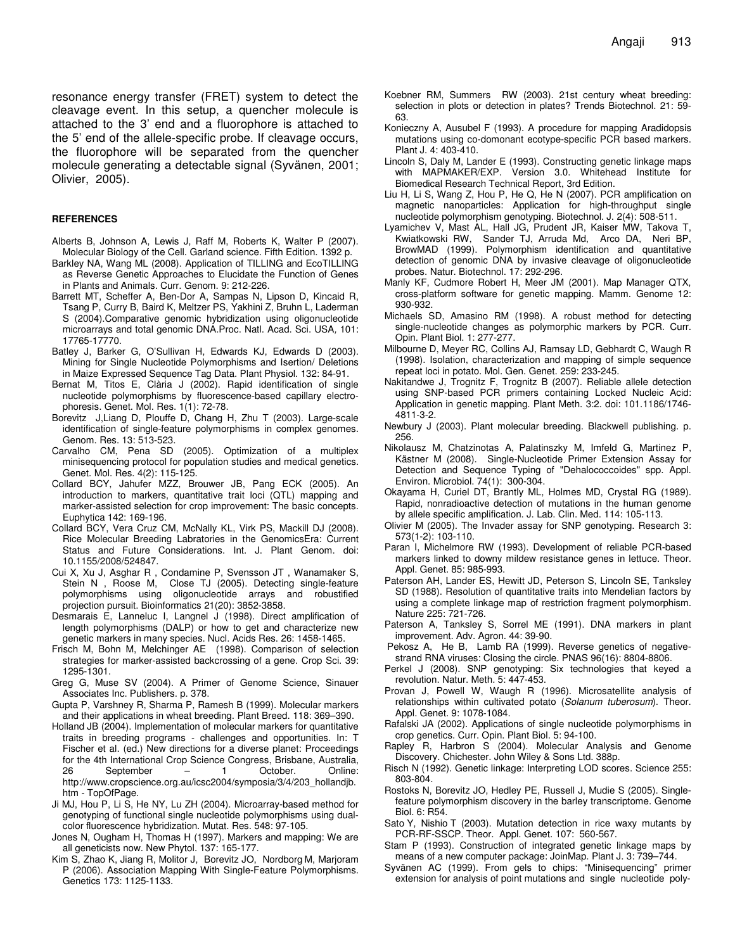resonance energy transfer (FRET) system to detect the cleavage event. In this setup, a quencher molecule is attached to the 3' end and a fluorophore is attached to the 5' end of the allele-specific probe. If cleavage occurs, the fluorophore will be separated from the quencher molecule generating a detectable signal (Syvänen, 2001; Olivier, 2005).

#### **REFERENCES**

- Alberts B, Johnson A, Lewis J, Raff M, Roberts K, Walter P (2007). Molecular Biology of the Cell. Garland science. Fifth Edition. 1392 p.
- Barkley NA, Wang ML (2008). Application of TILLING and EcoTILLING as Reverse Genetic Approaches to Elucidate the Function of Genes in Plants and Animals. Curr. Genom. 9: 212-226.
- Barrett MT, Scheffer A, Ben-Dor A, Sampas N, Lipson D, Kincaid R, Tsang P, Curry B, Baird K, Meltzer PS, Yakhini Z, Bruhn L, Laderman S (2004).Comparative genomic hybridization using oligonucleotide microarrays and total genomic DNA.Proc. Natl. Acad. Sci. USA*,* 101: 17765-17770.
- Batley J, Barker G, O'Sullivan H, Edwards KJ, Edwards D (2003). Mining for Single Nucleotide Polymorphisms and Isertion/ Deletions in Maize Expressed Sequence Tag Data. Plant Physiol. 132: 84-91.
- Bernat M, Titos E, Clària J (2002). Rapid identification of single nucleotide polymorphisms by fluorescence-based capillary electrophoresis. Genet. Mol. Res. 1(1): 72-78.
- Borevitz J,Liang D, Plouffe D, Chang H, Zhu T (2003). Large-scale identification of single-feature polymorphisms in complex genomes. Genom. Res. 13: 513-523.
- Carvalho CM, Pena SD (2005). Optimization of a multiplex minisequencing protocol for population studies and medical genetics. Genet. Mol. Res. 4(2): 115-125.
- Collard BCY, Jahufer MZZ, Brouwer JB, Pang ECK (2005). An introduction to markers, quantitative trait loci (QTL) mapping and marker-assisted selection for crop improvement: The basic concepts. Euphytica 142: 169-196.
- Collard BCY, Vera Cruz CM, McNally KL, Virk PS, Mackill DJ (2008). Rice Molecular Breeding Labratories in the GenomicsEra: Current Status and Future Considerations. Int. J. Plant Genom. doi: 10.1155/2008/524847.
- Cui X, Xu J, Asghar R , Condamine P, Svensson JT , Wanamaker S, Stein N , Roose M, Close TJ (2005). Detecting single-feature polymorphisms using oligonucleotide arrays and robustified projection pursuit. Bioinformatics 21(20): 3852-3858.
- Desmarais E, Lanneluc I, Langnel J (1998). Direct amplification of length polymorphisms (DALP) or how to get and characterize new genetic markers in many species. Nucl. Acids Res. 26: 1458-1465.
- Frisch M, Bohn M, Melchinger AE (1998). Comparison of selection strategies for marker-assisted backcrossing of a gene. Crop Sci. 39: 1295-1301.
- Greg G, Muse SV (2004). A Primer of Genome Science, Sinauer Associates Inc. Publishers. p. 378.
- Gupta P, Varshney R, Sharma P, Ramesh B (1999). Molecular markers and their applications in wheat breeding. Plant Breed. 118: 369–390.
- Holland JB (2004). Implementation of molecular markers for quantitative traits in breeding programs - challenges and opportunities. In: T Fischer et al. (ed.) New directions for a diverse planet: Proceedings for the 4th International Crop Science Congress, Brisbane, Australia, 26 September – 1 October. Online: http://www.cropscience.org.au/icsc2004/symposia/3/4/203\_hollandjb. htm - TopOfPage.
- Ji MJ, Hou P, Li S, He NY, Lu ZH (2004). Microarray-based method for genotyping of functional single nucleotide polymorphisms using dualcolor fluorescence hybridization. Mutat. Res. 548: 97-105.
- Jones N, Ougham H, Thomas H (1997). Markers and mapping: We are all geneticists now. New Phytol. 137: 165-177.
- Kim S, Zhao K, Jiang R, Molitor J, Borevitz JO, Nordborg M, Marjoram P (2006). Association Mapping With Single-Feature Polymorphisms. Genetics 173: 1125-1133.
- Koebner RM, Summers RW (2003). 21st century wheat breeding: selection in plots or detection in plates? Trends Biotechnol. 21: 59- 63.
- Konieczny A, Ausubel F (1993). A procedure for mapping Aradidopsis mutations using co-domonant ecotype-specific PCR based markers. Plant J. 4: 403-410.
- Lincoln S, Daly M, Lander E (1993). Constructing genetic linkage maps with MAPMAKER/EXP. Version 3.0. Whitehead Institute for Biomedical Research Technical Report, 3rd Edition.
- Liu H, Li S, Wang Z, Hou P, He Q, He N (2007). PCR amplification on magnetic nanoparticles: Application for high-throughput single nucleotide polymorphism genotyping. Biotechnol. J. 2(4): 508-511.
- Lyamichev V, Mast AL, Hall JG, Prudent JR, Kaiser MW, Takova T, Kwiatkowski RW, Sander TJ, Arruda Md, Arco DA, Neri BP, BrowMAD (1999). Polymorphism identification and quantitative detection of genomic DNA by invasive cleavage of oligonucleotide probes. Natur. Biotechnol. 17: 292-296.
- Manly KF, Cudmore Robert H, Meer JM (2001). Map Manager QTX, cross-platform software for genetic mapping. Mamm. Genome 12: 930-932.
- Michaels SD, Amasino RM (1998). A robust method for detecting single-nucleotide changes as polymorphic markers by PCR. Curr. Opin. Plant Biol. 1: 277-277.
- Milbourne D, Meyer RC, Collins AJ, Ramsay LD, Gebhardt C, Waugh R (1998). Isolation, characterization and mapping of simple sequence repeat loci in potato. Mol. Gen. Genet. 259: 233-245.
- Nakitandwe J, Trognitz F, Trognitz B (2007). Reliable allele detection using SNP-based PCR primers containing Locked Nucleic Acid: Application in genetic mapping. Plant Meth. 3:2. doi: 101.1186/1746- 4811-3-2.
- Newbury J (2003). Plant molecular breeding. Blackwell publishing. p. 256.
- Nikolausz M, Chatzinotas A, Palatinszky M, Imfeld G, Martinez P, Kästner M (2008). Single-Nucleotide Primer Extension Assay for Detection and Sequence Typing of "Dehalococcoides" spp. Appl. Environ. Microbiol. 74(1): 300-304.
- Okayama H, Curiel DT, Brantly ML, Holmes MD, Crystal RG (1989). Rapid, nonradioactive detection of mutations in the human genome by allele specific amplification. J. Lab. Clin. Med. 114: 105-113.
- Olivier M (2005). The Invader assay for SNP genotyping. Research 3: 573(1-2): 103-110.
- Paran I, Michelmore RW (1993). Development of reliable PCR-based markers linked to downy mildew resistance genes in lettuce. Theor. Appl. Genet. 85: 985-993.
- Paterson AH, Lander ES, Hewitt JD, Peterson S, Lincoln SE, Tanksley SD (1988). Resolution of quantitative traits into Mendelian factors by using a complete linkage map of restriction fragment polymorphism. Nature 225: 721-726.
- Paterson A, Tanksley S, Sorrel ME (1991). DNA markers in plant improvement. Adv. Agron. 44: 39-90.
- Pekosz A, He B, Lamb RA (1999). Reverse genetics of negativestrand RNA viruses: Closing the circle. PNAS 96(16): 8804-8806.
- Perkel J (2008). SNP genotyping: Six technologies that keyed a revolution. Natur. Meth. 5: 447-453.
- Provan J, Powell W, Waugh R (1996). Microsatellite analysis of relationships within cultivated potato (*Solanum tuberosum*). Theor. Appl. Genet. 9: 1078-1084.
- Rafalski JA (2002). Applications of single nucleotide polymorphisms in crop genetics. Curr. Opin. Plant Biol. 5: 94-100.
- Rapley R, Harbron S (2004). Molecular Analysis and Genome Discovery. Chichester. John Wiley & Sons Ltd. 388p.
- Risch N (1992). Genetic linkage: Interpreting LOD scores. Science 255: 803-804.
- Rostoks N, Borevitz JO, Hedley PE, Russell J, Mudie S (2005). Singlefeature polymorphism discovery in the barley transcriptome. Genome Biol. 6: R54.
- Sato Y, Nishio T (2003). Mutation detection in rice waxy mutants by PCR-RF-SSCP. Theor. Appl. Genet. 107: 560-567.
- Stam P (1993). Construction of integrated genetic linkage maps by means of a new computer package: JoinMap. Plant J. 3: 739–744.
- Syvänen AC (1999). From gels to chips: "Minisequencing" primer extension for analysis of point mutations and single nucleotide poly-